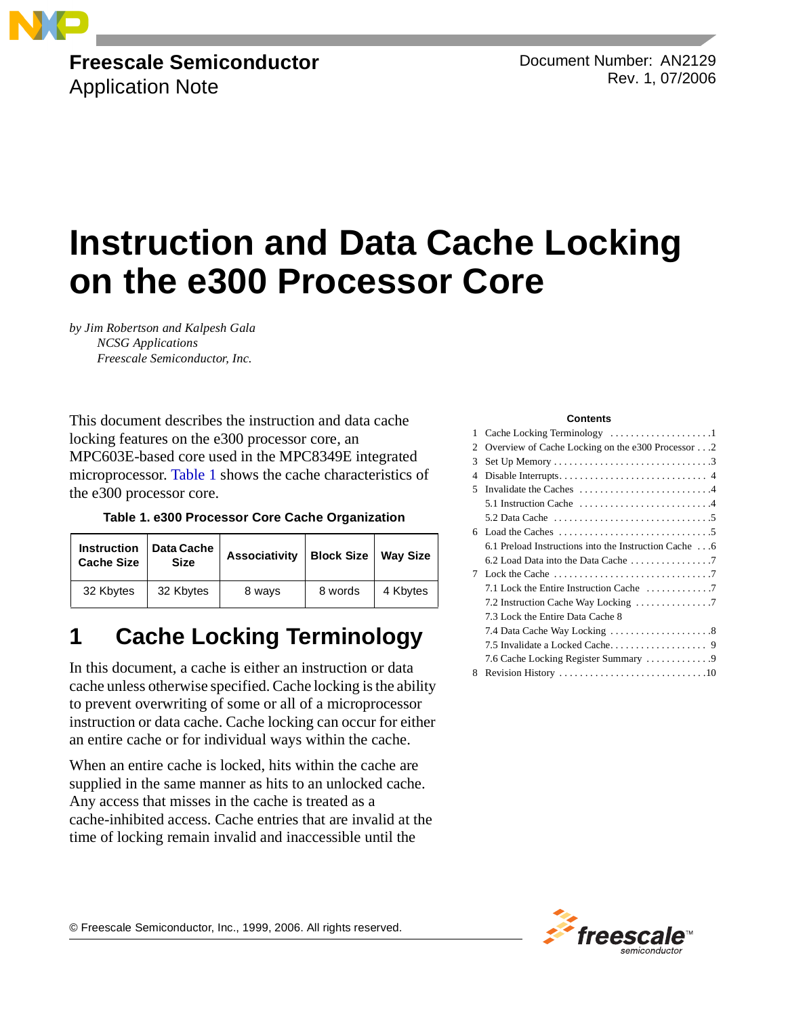

### **Freescale Semiconductor** Application Note

Document Number: AN2129 Rev. 1, 07/2006

# **Instruction and Data Cache Locking on the e300 Processor Core**

*by Jim Robertson and Kalpesh Gala NCSG Applications Freescale Semiconductor, Inc.*

This document describes the instruction and data cache locking features on the e300 processor core, an MPC603E-based core used in the MPC8349E integrated microprocessor. [Table 1](#page-0-0) shows the cache characteristics of the e300 processor core.

### **Table 1. e300 Processor Core Cache Organization**

<span id="page-0-0"></span>

| <b>Instruction</b><br><b>Cache Size</b> | Data Cache<br>Size | <b>Associativity</b> | <b>Block Size</b> | <b>Way Size</b> |
|-----------------------------------------|--------------------|----------------------|-------------------|-----------------|
| 32 Kbytes                               | 32 Kbytes          | 8 ways               | 8 words           | 4 Kbytes        |

## **1 Cache Locking Terminology**

In this document, a cache is either an instruction or data cache unless otherwise specified. Cache locking is the ability to prevent overwriting of some or all of a microprocessor instruction or data cache. Cache locking can occur for either an entire cache or for individual ways within the cache.

When an entire cache is locked, hits within the cache are supplied in the same manner as hits to an unlocked cache. Any access that misses in the cache is treated as a cache-inhibited access. Cache entries that are invalid at the time of locking remain invalid and inaccessible until the

#### **Contents**

| 1  |                                                                         |
|----|-------------------------------------------------------------------------|
| 2  | Overview of Cache Locking on the e300 Processor 2                       |
| 3  |                                                                         |
| 4  |                                                                         |
| 5  |                                                                         |
|    | 5.1 Instruction Cache $\dots \dots \dots \dots \dots \dots \dots \dots$ |
|    |                                                                         |
| б. | Load the Caches $\dots\dots\dots\dots\dots\dots\dots\dots\dots\dots$    |
|    | 6.1 Preload Instructions into the Instruction Cache 6                   |
|    |                                                                         |
| 7  |                                                                         |
|    |                                                                         |
|    |                                                                         |
|    | 7.3 Lock the Entire Data Cache 8                                        |
|    |                                                                         |
|    |                                                                         |
|    |                                                                         |
| 8  |                                                                         |
|    |                                                                         |

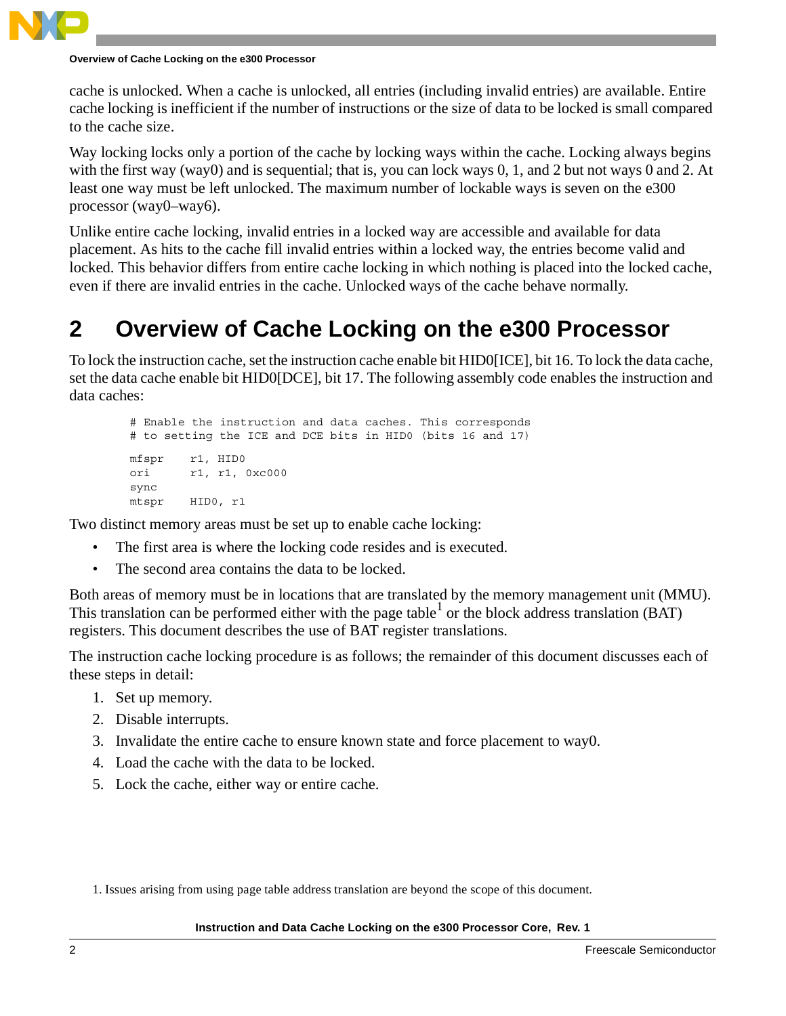

**Overview of Cache Locking on the e300 Processor**

cache is unlocked. When a cache is unlocked, all entries (including invalid entries) are available. Entire cache locking is inefficient if the number of instructions or the size of data to be locked is small compared to the cache size.

Way locking locks only a portion of the cache by locking ways within the cache. Locking always begins with the first way (way0) and is sequential; that is, you can lock ways 0, 1, and 2 but not ways 0 and 2. At least one way must be left unlocked. The maximum number of lockable ways is seven on the e300 processor (way0–way6).

Unlike entire cache locking, invalid entries in a locked way are accessible and available for data placement. As hits to the cache fill invalid entries within a locked way, the entries become valid and locked. This behavior differs from entire cache locking in which nothing is placed into the locked cache, even if there are invalid entries in the cache. Unlocked ways of the cache behave normally.

## **2 Overview of Cache Locking on the e300 Processor**

To lock the instruction cache, set the instruction cache enable bit HID0[ICE], bit 16. To lock the data cache, set the data cache enable bit HID0[DCE], bit 17. The following assembly code enables the instruction and data caches:

# Enable the instruction and data caches. This corresponds # to setting the ICE and DCE bits in HID0 (bits 16 and 17) mfspr r1, HID0 ori r1, r1, 0xc000 sync mtspr HID0, r1

Two distinct memory areas must be set up to enable cache locking:

- The first area is where the locking code resides and is executed.
- The second area contains the data to be locked.

Both areas of memory must be in locations that are translated by the memory management unit (MMU). This translation can be performed either with the page table  $\frac{1}{1}$  or the block address translation (BAT) registers. This document describes the use of BAT register translations.

The instruction cache locking procedure is as follows; the remainder of this document discusses each of these steps in detail:

- 1. Set up memory.
- 2. Disable interrupts.
- 3. Invalidate the entire cache to ensure known state and force placement to way0.
- 4. Load the cache with the data to be locked.
- 5. Lock the cache, either way or entire cache.

1. Issues arising from using page table address translation are beyond the scope of this document.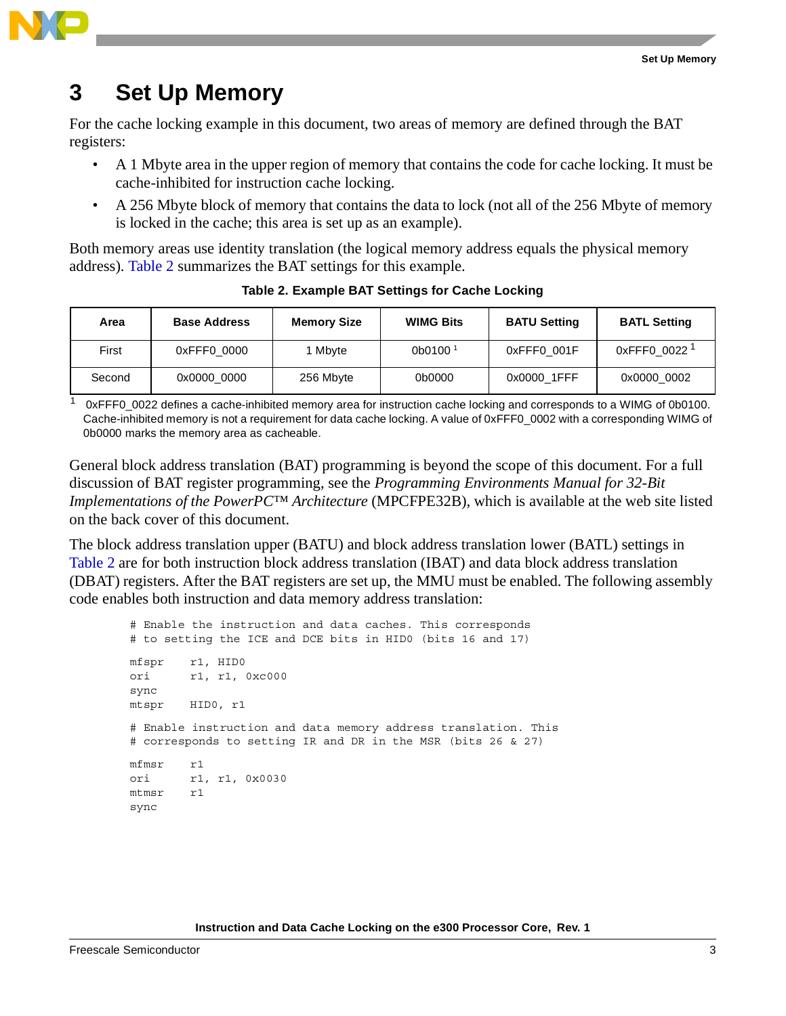

## **3 Set Up Memory**

For the cache locking example in this document, two areas of memory are defined through the BAT registers:

- A 1 Mbyte area in the upper region of memory that contains the code for cache locking. It must be cache-inhibited for instruction cache locking.
- A 256 Mbyte block of memory that contains the data to lock (not all of the 256 Mbyte of memory is locked in the cache; this area is set up as an example).

Both memory areas use identity translation (the logical memory address equals the physical memory address). [Table 2](#page-2-0) summarizes the BAT settings for this example.

<span id="page-2-0"></span>

| Area   | <b>Base Address</b> | <b>Memory Size</b> | <b>WIMG Bits</b>    | <b>BATU Setting</b> | <b>BATL Setting</b> |
|--------|---------------------|--------------------|---------------------|---------------------|---------------------|
| First  | 0xFFF0 0000         | I Mbvte            | 0b0100 <sup>1</sup> | 0xFFF0 001F         | 0xFFF0 0022         |
| Second | 0x0000 0000         | 256 Mbyte          | 0b0000              | 0x0000 1FFF         | 0x0000 0002         |

**Table 2. Example BAT Settings for Cache Locking**

0xFFF0\_0022 defines a cache-inhibited memory area for instruction cache locking and corresponds to a WIMG of 0b0100. Cache-inhibited memory is not a requirement for data cache locking. A value of 0xFFF0\_0002 with a corresponding WIMG of 0b0000 marks the memory area as cacheable.

General block address translation (BAT) programming is beyond the scope of this document. For a full discussion of BAT register programming, see the *Programming Environments Manual for 32-Bit Implementations of the PowerPC™ Architecture* (MPCFPE32B), which is available at the web site listed on the back cover of this document.

The block address translation upper (BATU) and block address translation lower (BATL) settings in [Table 2](#page-2-0) are for both instruction block address translation (IBAT) and data block address translation (DBAT) registers. After the BAT registers are set up, the MMU must be enabled. The following assembly code enables both instruction and data memory address translation:

```
# Enable the instruction and data caches. This corresponds
# to setting the ICE and DCE bits in HID0 (bits 16 and 17)
mfspr r1, HID0
ori r1, r1, 0xc000
sync
mtspr HID0, r1 
# Enable instruction and data memory address translation. This
# corresponds to setting IR and DR in the MSR (bits 26 & 27)
mfmsr r1
ori r1, r1, 0x0030
mtmsr r1
sync
```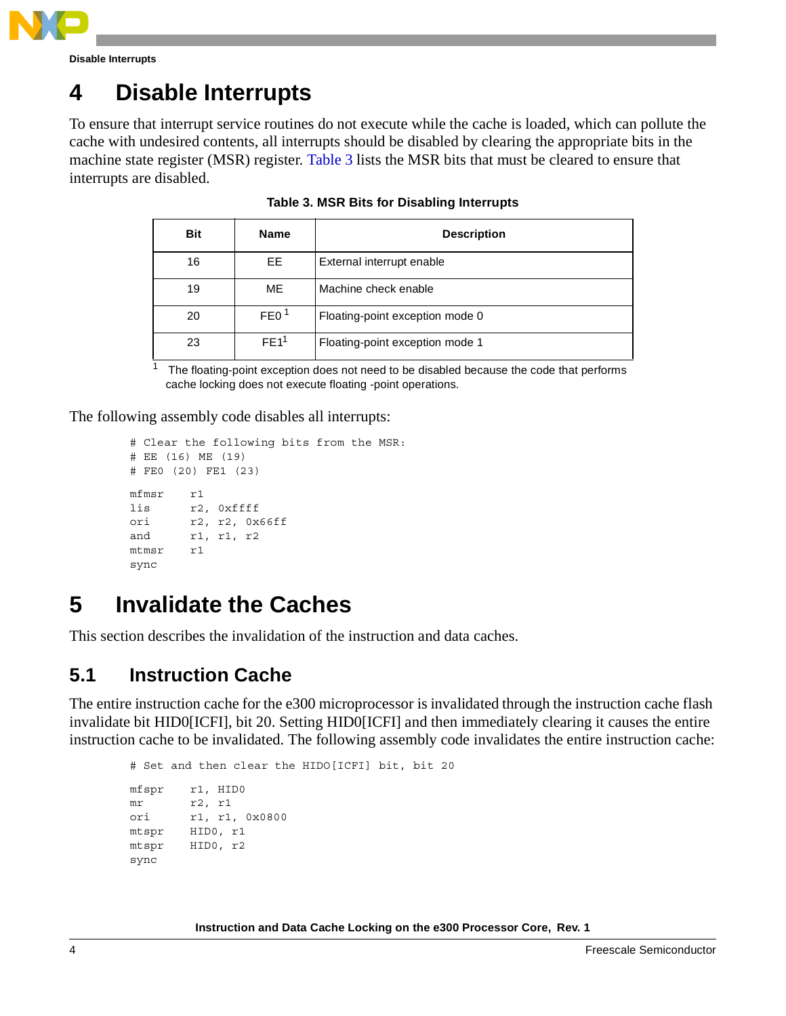

**Disable Interrupts**

## **4 Disable Interrupts**

<span id="page-3-0"></span>To ensure that interrupt service routines do not execute while the cache is loaded, which can pollute the cache with undesired contents, all interrupts should be disabled by clearing the appropriate bits in the machine state register (MSR) register. [Table 3](#page-3-0) lists the MSR bits that must be cleared to ensure that interrupts are disabled.

| <b>Bit</b> | <b>Name</b>      | <b>Description</b>              |
|------------|------------------|---------------------------------|
| 16         | EE.              | External interrupt enable       |
| 19         | ME.              | Machine check enable            |
| 20         | FE0 <sup>1</sup> | Floating-point exception mode 0 |
| 23         | FE1 <sup>1</sup> | Floating-point exception mode 1 |

|  |  | Table 3. MSR Bits for Disabling Interrupts |  |
|--|--|--------------------------------------------|--|
|  |  |                                            |  |

 $1$  The floating-point exception does not need to be disabled because the code that performs cache locking does not execute floating -point operations.

The following assembly code disables all interrupts:

```
# Clear the following bits from the MSR:
# EE (16) ME (19)
# FE0 (20) FE1 (23)
mfmsr r1
lis r2, 0xffff
ori r2, r2, 0x66ff
and r1, r1, r2
mtmsr r1
sync
```
## **5 Invalidate the Caches**

This section describes the invalidation of the instruction and data caches.

### **5.1 Instruction Cache**

The entire instruction cache for the e300 microprocessor is invalidated through the instruction cache flash invalidate bit HID0[ICFI], bit 20. Setting HID0[ICFI] and then immediately clearing it causes the entire instruction cache to be invalidated. The following assembly code invalidates the entire instruction cache:

```
# Set and then clear the HIDO[ICFI] bit, bit 20 
mfspr r1, HID0
mr r2, r1
ori r1, r1, 0x0800
mtspr HID0, r1
mtspr HID0, r2
sync
```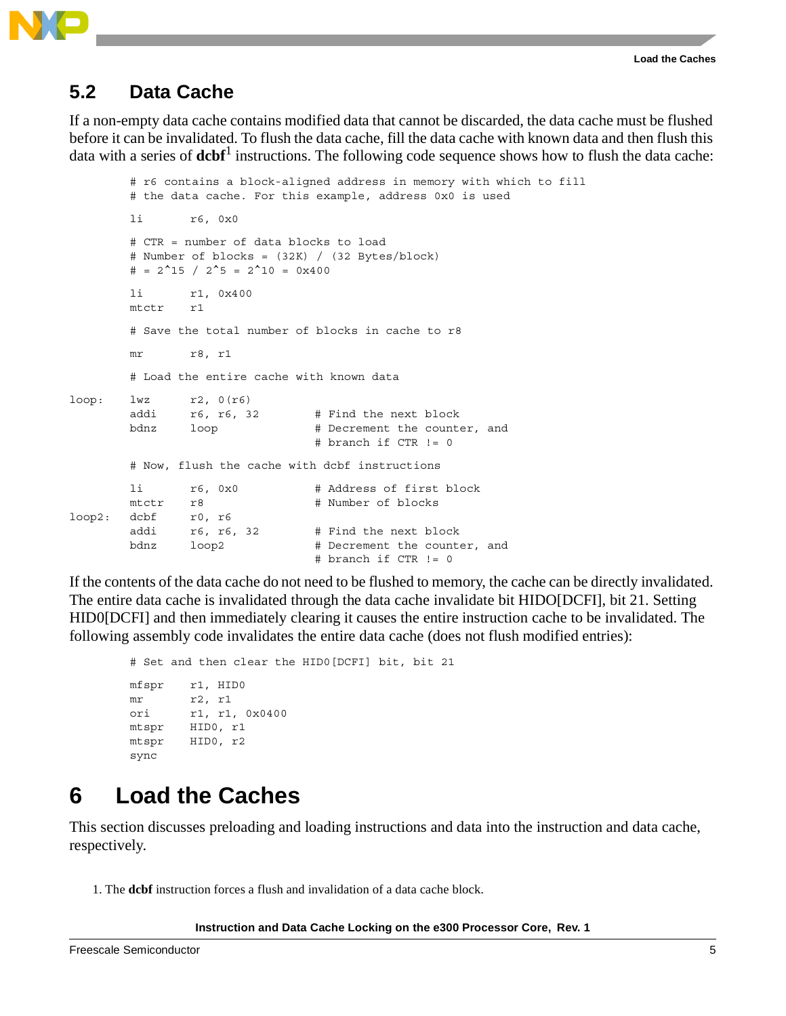

### **5.2 Data Cache**

If a non-empty data cache contains modified data that cannot be discarded, the data cache must be flushed before it can be invalidated. To flush the data cache, fill the data cache with known data and then flush this data with a series of **dcbf**1 instructions. The following code sequence shows how to flush the data cache:

```
# r6 contains a block-aligned address in memory with which to fill
        # the data cache. For this example, address 0x0 is used
       li r6, 0x0
        # CTR = number of data blocks to load
        # Number of blocks = (32K) / (32 Bytes/block)
        \# = 2<sup>^</sup>15 / 2<sup>^</sup>5 = 2<sup>^</sup>10 = 0x400
        li r1, 0x400
       mtctr r1
        # Save the total number of blocks in cache to r8
       mr r8, r1 
        # Load the entire cache with known data 
loop: lwz r2, 0(r6)
        addi r6, r6, 32 # Find the next block
       bdnz loop \# Decrement the counter, and
                                # branch if CTR != 0
        # Now, flush the cache with dcbf instructions 
        li r6, 0x0 # Address of first block
       mtctr r8 # Number of blocks
loop2: dcbf r0, r6
        addi r6, r6, 32 # Find the next block
       bdnz loop2 # Decrement the counter, and
                                # branch if CTR != 0
```
If the contents of the data cache do not need to be flushed to memory, the cache can be directly invalidated. The entire data cache is invalidated through the data cache invalidate bit HIDO[DCFI], bit 21. Setting HID0[DCFI] and then immediately clearing it causes the entire instruction cache to be invalidated. The following assembly code invalidates the entire data cache (does not flush modified entries):

```
# Set and then clear the HID0[DCFI] bit, bit 21
mfspr r1, HID0
mr r2, r1
ori r1, r1, 0x0400
mtspr HID0, r1
mtspr HID0, r2
sync
```
### **6 Load the Caches**

This section discusses preloading and loading instructions and data into the instruction and data cache, respectively.

1. The **dcbf** instruction forces a flush and invalidation of a data cache block.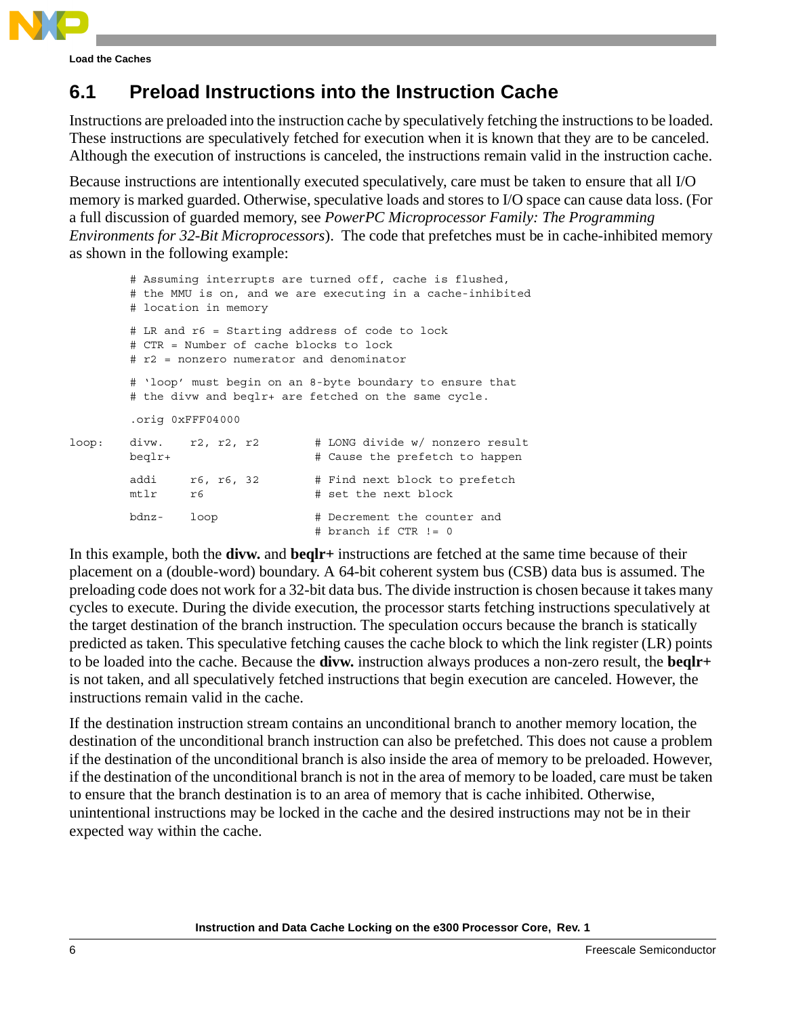

**Load the Caches**

### **6.1 Preload Instructions into the Instruction Cache**

Instructions are preloaded into the instruction cache by speculatively fetching the instructions to be loaded. These instructions are speculatively fetched for execution when it is known that they are to be canceled. Although the execution of instructions is canceled, the instructions remain valid in the instruction cache.

Because instructions are intentionally executed speculatively, care must be taken to ensure that all I/O memory is marked guarded. Otherwise, speculative loads and stores to I/O space can cause data loss. (For a full discussion of guarded memory, see *PowerPC Microprocessor Family: The Programming Environments for 32-Bit Microprocessors*). The code that prefetches must be in cache-inhibited memory as shown in the following example:

```
# Assuming interrupts are turned off, cache is flushed,
        # the MMU is on, and we are executing in a cache-inhibited
        # location in memory
        # LR and r6 = Starting address of code to lock
        # CTR = Number of cache blocks to lock
        # r2 = nonzero numerator and denominator
        # 'loop' must begin on an 8-byte boundary to ensure that
        # the divw and beqlr+ are fetched on the same cycle.
        .orig 0xFFF04000
loop: divw. r2, r2, r2 # LONG divide w/ nonzero result
       beqlr+ \qquad # Cause the prefetch to happen
        addi r6, r6, 32 # Find next block to prefetch
        mtlr r6 # set the next block
       bdnz- loop \# Decrement the counter and
                                # branch if CTR != 0
```
In this example, both the **divw.** and **beqlr+** instructions are fetched at the same time because of their placement on a (double-word) boundary. A 64-bit coherent system bus (CSB) data bus is assumed. The preloading code does not work for a 32-bit data bus. The divide instruction is chosen because it takes many cycles to execute. During the divide execution, the processor starts fetching instructions speculatively at the target destination of the branch instruction. The speculation occurs because the branch is statically predicted as taken. This speculative fetching causes the cache block to which the link register (LR) points to be loaded into the cache. Because the **divw.** instruction always produces a non-zero result, the **beqlr+** is not taken, and all speculatively fetched instructions that begin execution are canceled. However, the instructions remain valid in the cache.

If the destination instruction stream contains an unconditional branch to another memory location, the destination of the unconditional branch instruction can also be prefetched. This does not cause a problem if the destination of the unconditional branch is also inside the area of memory to be preloaded. However, if the destination of the unconditional branch is not in the area of memory to be loaded, care must be taken to ensure that the branch destination is to an area of memory that is cache inhibited. Otherwise, unintentional instructions may be locked in the cache and the desired instructions may not be in their expected way within the cache.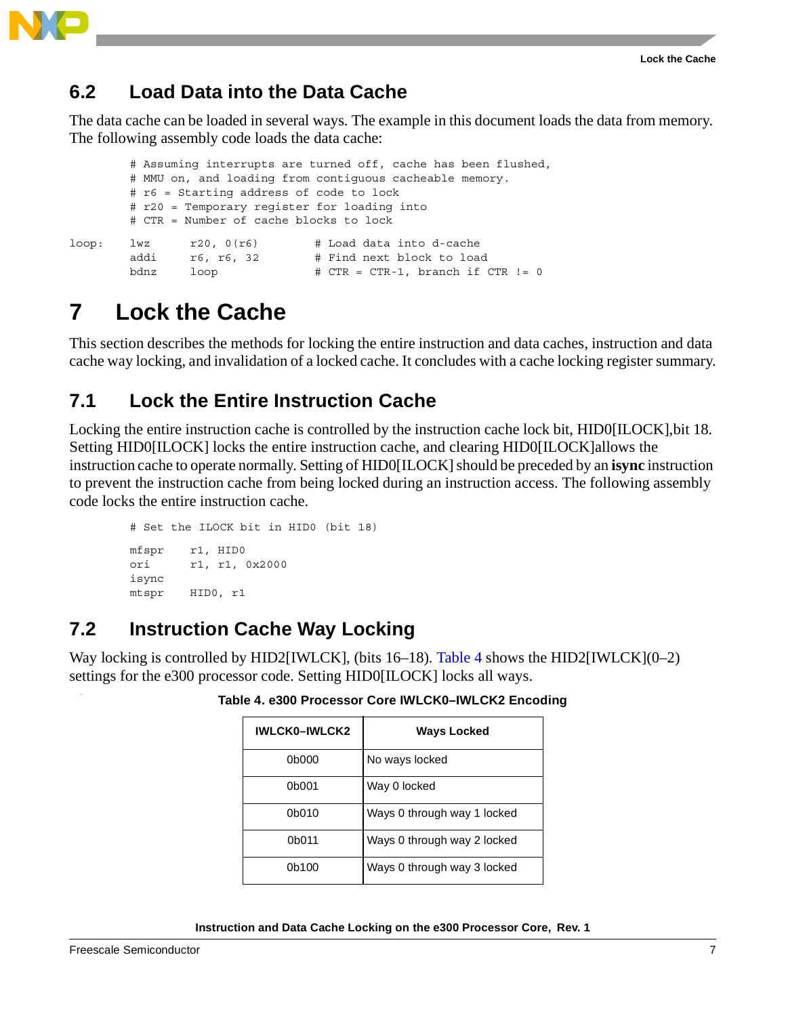



### **6.2 Load Data into the Data Cache**

The data cache can be loaded in several ways. The example in this document loads the data from memory. The following assembly code loads the data cache:

```
# Assuming interrupts are turned off, cache has been flushed,
       # MMU on, and loading from contiguous cacheable memory.
       # r6 = Starting address of code to lock
       # r20 = Temporary register for loading into
       # CTR = Number of cache blocks to lock
loop: lwz r20, 0(r6) # Load data into d-cache
       addi r6, r6, 32 # Find next block to load
       bdnz loop \# CTR = CTR-1, branch if CTR = 0
```
## **7 Lock the Cache**

This section describes the methods for locking the entire instruction and data caches, instruction and data cache way locking, and invalidation of a locked cache. It concludes with a cache locking register summary.

### **7.1 Lock the Entire Instruction Cache**

Locking the entire instruction cache is controlled by the instruction cache lock bit, HID0[ILOCK],bit 18. Setting HID0[ILOCK] locks the entire instruction cache, and clearing HID0[ILOCK]allows the instruction cache to operate normally. Setting of HID0[ILOCK] should be preceded by an **isync** instruction to prevent the instruction cache from being locked during an instruction access. The following assembly code locks the entire instruction cache.

```
# Set the ILOCK bit in HID0 (bit 18)
mfspr r1, HID0
ori r1, r1, 0x2000
isync
mtspr HID0, r1
```
### **7.2 Instruction Cache Way Locking**

<span id="page-6-0"></span>Way locking is controlled by HID2[IWLCK], (bits 16–18). [Table 4](#page-6-0) shows the HID2[IWLCK](0–2) settings for the e300 processor code. Setting HID0[ILOCK] locks all ways.

| IWLCK0-IWLCK2      | <b>Ways Locked</b>          |
|--------------------|-----------------------------|
| 0b000              | No ways locked              |
| 0b001              | Way 0 locked                |
| 0b010              | Ways 0 through way 1 locked |
| 0 <sub>b</sub> 011 | Ways 0 through way 2 locked |
| 0b100              | Ways 0 through way 3 locked |

### **Table 4. e300 Processor Core IWLCK0–IWLCK2 Encoding**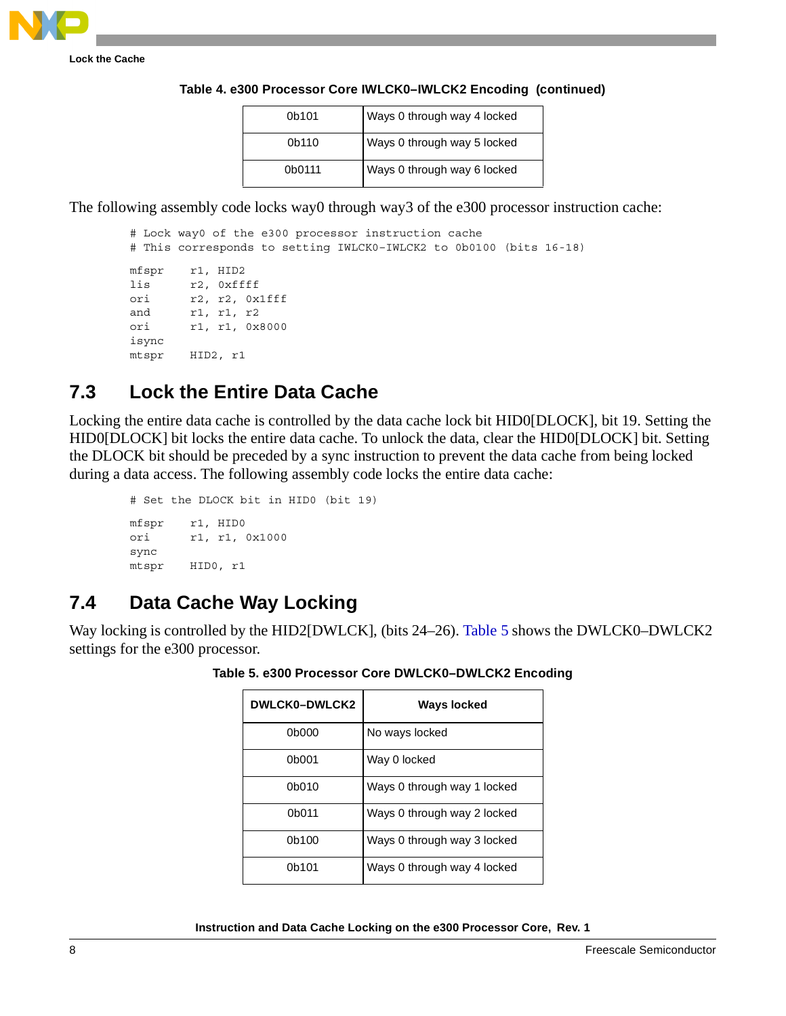

|  | Table 4. e300 Processor Core IWLCK0-IWLCK2 Encoding (continued) |  |
|--|-----------------------------------------------------------------|--|
|--|-----------------------------------------------------------------|--|

| 0b101  | Ways 0 through way 4 locked |
|--------|-----------------------------|
| 0b110  | Ways 0 through way 5 locked |
| 0b0111 | Ways 0 through way 6 locked |

The following assembly code locks way0 through way3 of the e300 processor instruction cache:

```
# Lock way0 of the e300 processor instruction cache
# This corresponds to setting IWLCK0–IWLCK2 to 0b0100 (bits 16-18)
mfspr r1, HID2
lis r2, 0xffff
ori r2, r2, 0x1fff
and r1, r1, r2
ori r1, r1, 0x8000
isync
mtspr HID2, r1
```
### **7.3 Lock the Entire Data Cache**

Locking the entire data cache is controlled by the data cache lock bit HID0[DLOCK], bit 19. Setting the HID0[DLOCK] bit locks the entire data cache. To unlock the data, clear the HID0[DLOCK] bit. Setting the DLOCK bit should be preceded by a sync instruction to prevent the data cache from being locked during a data access. The following assembly code locks the entire data cache:

```
 # Set the DLOCK bit in HID0 (bit 19)
mfspr r1, HID0
ori r1, r1, 0x1000
sync
mtspr HID0, r1
```
### **7.4 Data Cache Way Locking**

<span id="page-7-0"></span>Way locking is controlled by the HID2[DWLCK], (bits 24–26). [Table 5](#page-7-0) shows the DWLCK0–DWLCK2 settings for the e300 processor.

| DWLCK0-DWLCK2      | Ways locked                 |
|--------------------|-----------------------------|
| 0b000              | No ways locked              |
| 0 <sub>b</sub> 001 | Way 0 locked                |
| 0 <sub>b</sub> 010 | Ways 0 through way 1 locked |
| 0 <sub>b</sub> 011 | Ways 0 through way 2 locked |
| 0b100              | Ways 0 through way 3 locked |
| 0b101              | Ways 0 through way 4 locked |

**Table 5. e300 Processor Core DWLCK0–DWLCK2 Encoding**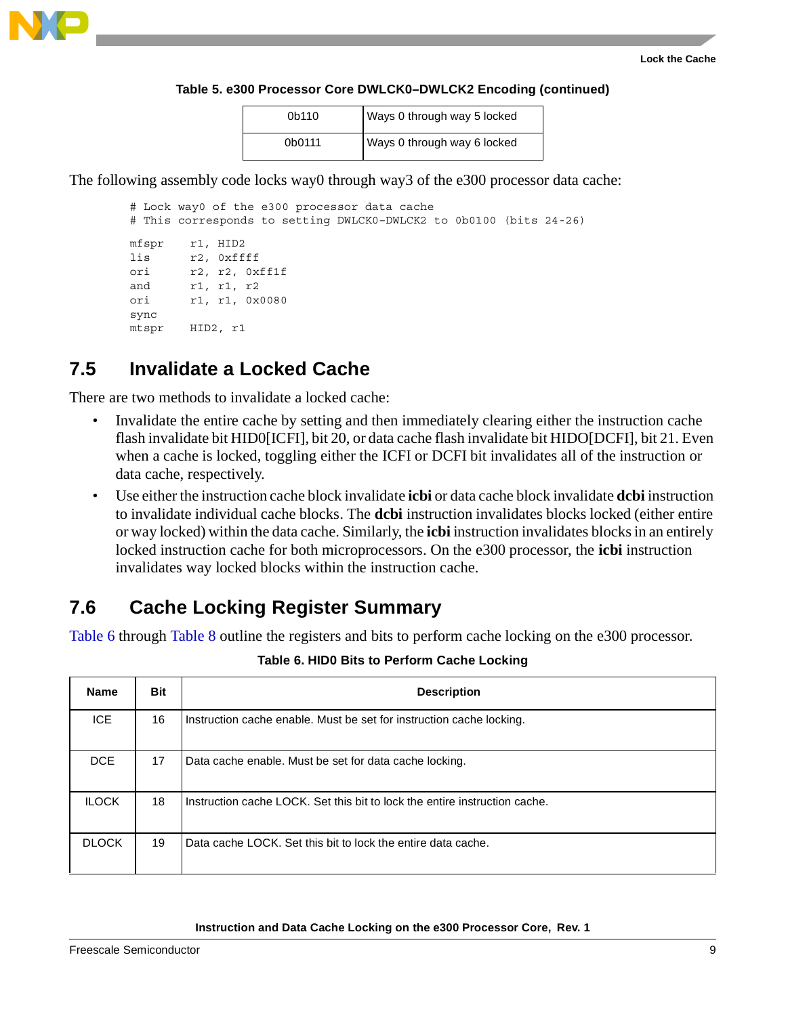

#### **Table 5. e300 Processor Core DWLCK0–DWLCK2 Encoding (continued)**

| 0b110  | Ways 0 through way 5 locked |
|--------|-----------------------------|
| 0b0111 | Ways 0 through way 6 locked |

The following assembly code locks way0 through way3 of the e300 processor data cache:

```
# Lock way0 of the e300 processor data cache
# This corresponds to setting DWLCK0–DWLCK2 to 0b0100 (bits 24-26)
mfspr r1, HID2
lis r2, 0xffff
ori r2, r2, 0xff1f
and r1, r1, r2
ori r1, r1, 0x0080
sync
mtspr HID2, r1
```
### **7.5 Invalidate a Locked Cache**

There are two methods to invalidate a locked cache:

- Invalidate the entire cache by setting and then immediately clearing either the instruction cache flash invalidate bit HID0[ICFI], bit 20, or data cache flash invalidate bit HIDO[DCFI], bit 21. Even when a cache is locked, toggling either the ICFI or DCFI bit invalidates all of the instruction or data cache, respectively.
- Use either the instruction cache block invalidate **icbi** or data cache block invalidate **dcbi** instruction to invalidate individual cache blocks. The **dcbi** instruction invalidates blocks locked (either entire or way locked) within the data cache. Similarly, the **icbi** instruction invalidates blocks in an entirely locked instruction cache for both microprocessors. On the e300 processor, the **icbi** instruction invalidates way locked blocks within the instruction cache.

### **7.6 Cache Locking Register Summary**

<span id="page-8-0"></span>[Table 6](#page-8-0) through [Table 8](#page-9-0) outline the registers and bits to perform cache locking on the e300 processor.

| <b>Name</b>  | <b>Bit</b> | <b>Description</b>                                                         |
|--------------|------------|----------------------------------------------------------------------------|
| <b>ICE</b>   | 16         | Instruction cache enable. Must be set for instruction cache locking.       |
| <b>DCE</b>   | 17         | Data cache enable. Must be set for data cache locking.                     |
| <b>ILOCK</b> | 18         | Instruction cache LOCK. Set this bit to lock the entire instruction cache. |
| <b>DLOCK</b> | 19         | Data cache LOCK. Set this bit to lock the entire data cache.               |

#### **Table 6. HID0 Bits to Perform Cache Locking**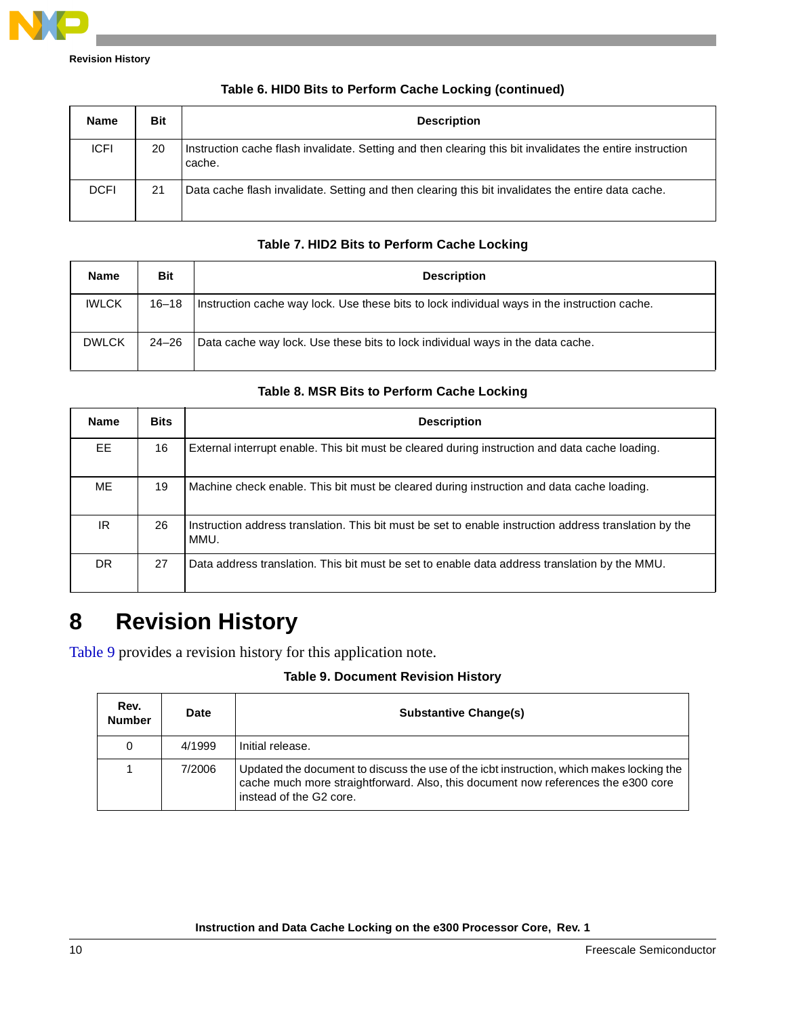

**Revision History**

| <b>Name</b> | Bit | <b>Description</b>                                                                                                  |
|-------------|-----|---------------------------------------------------------------------------------------------------------------------|
| <b>ICFI</b> | 20  | Instruction cache flash invalidate. Setting and then clearing this bit invalidates the entire instruction<br>cache. |
| <b>DCFI</b> | 21  | Data cache flash invalidate. Setting and then clearing this bit invalidates the entire data cache.                  |

### **Table 6. HID0 Bits to Perform Cache Locking (continued)**

### **Table 7. HID2 Bits to Perform Cache Locking**

| Name         | Bit       | <b>Description</b>                                                                           |
|--------------|-----------|----------------------------------------------------------------------------------------------|
| <b>IWLCK</b> | $16 - 18$ | Instruction cache way lock. Use these bits to lock individual ways in the instruction cache. |
| <b>DWLCK</b> | $24 - 26$ | Data cache way lock. Use these bits to lock individual ways in the data cache.               |

<span id="page-9-0"></span>

| <b>I AVIC 0. INOIN DILS IV I CHUITH CACHE LOCKING</b> |             |                                                                                                                |  |  |  |
|-------------------------------------------------------|-------------|----------------------------------------------------------------------------------------------------------------|--|--|--|
| <b>Name</b>                                           | <b>Bits</b> | <b>Description</b>                                                                                             |  |  |  |
| EE.                                                   | 16          | External interrupt enable. This bit must be cleared during instruction and data cache loading.                 |  |  |  |
| ME.                                                   | 19          | Machine check enable. This bit must be cleared during instruction and data cache loading.                      |  |  |  |
| IR                                                    | 26          | Instruction address translation. This bit must be set to enable instruction address translation by the<br>MMU. |  |  |  |
| DR                                                    | 27          | Data address translation. This bit must be set to enable data address translation by the MMU.                  |  |  |  |

### **Table 8. MSR Bits to Perform Cache Locking**

## **8 Revision History**

<span id="page-9-1"></span>[Table 9](#page-9-1) provides a revision history for this application note.

### **Table 9. Document Revision History**

| Rev.<br><b>Number</b> | <b>Date</b> | <b>Substantive Change(s)</b>                                                                                                                                                                             |
|-----------------------|-------------|----------------------------------------------------------------------------------------------------------------------------------------------------------------------------------------------------------|
| 0                     | 4/1999      | Initial release.                                                                                                                                                                                         |
|                       | 7/2006      | Updated the document to discuss the use of the icbt instruction, which makes locking the<br>cache much more straightforward. Also, this document now references the e300 core<br>instead of the G2 core. |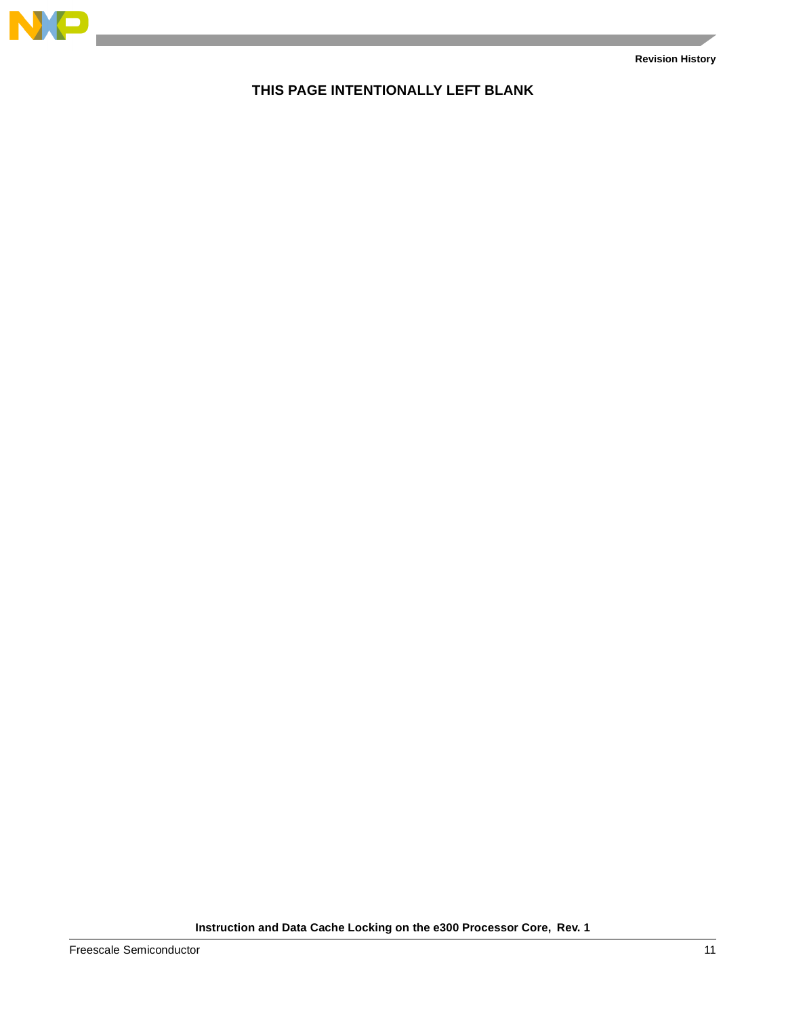

 $\overline{\phantom{a}}$ 

**Revision History**

### **THIS PAGE INTENTIONALLY LEFT BLANK**